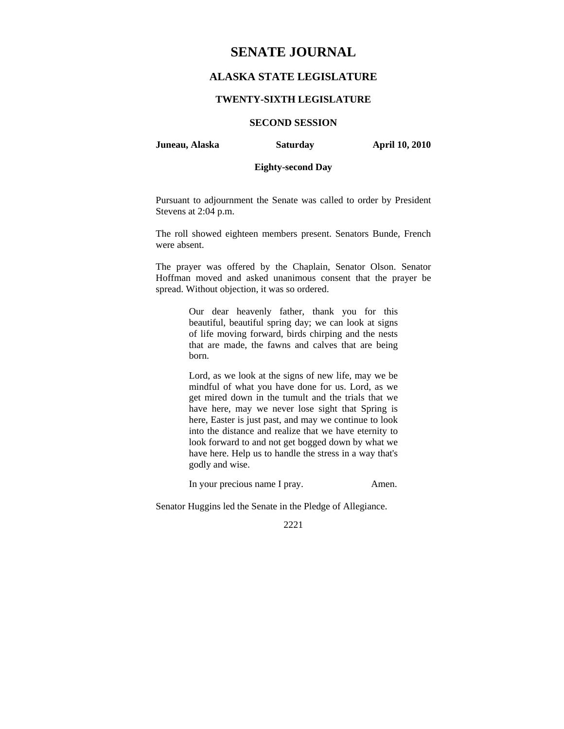# **SENATE JOURNAL**

# **ALASKA STATE LEGISLATURE**

## **TWENTY-SIXTH LEGISLATURE**

## **SECOND SESSION**

**Juneau, Alaska Saturday April 10, 2010** 

## **Eighty-second Day**

Pursuant to adjournment the Senate was called to order by President Stevens at 2:04 p.m.

The roll showed eighteen members present. Senators Bunde, French were absent.

The prayer was offered by the Chaplain, Senator Olson. Senator Hoffman moved and asked unanimous consent that the prayer be spread. Without objection, it was so ordered.

> Our dear heavenly father, thank you for this beautiful, beautiful spring day; we can look at signs of life moving forward, birds chirping and the nests that are made, the fawns and calves that are being born.

> Lord, as we look at the signs of new life, may we be mindful of what you have done for us. Lord, as we get mired down in the tumult and the trials that we have here, may we never lose sight that Spring is here, Easter is just past, and may we continue to look into the distance and realize that we have eternity to look forward to and not get bogged down by what we have here. Help us to handle the stress in a way that's godly and wise.

> In your precious name I pray. Amen.

Senator Huggins led the Senate in the Pledge of Allegiance.

2221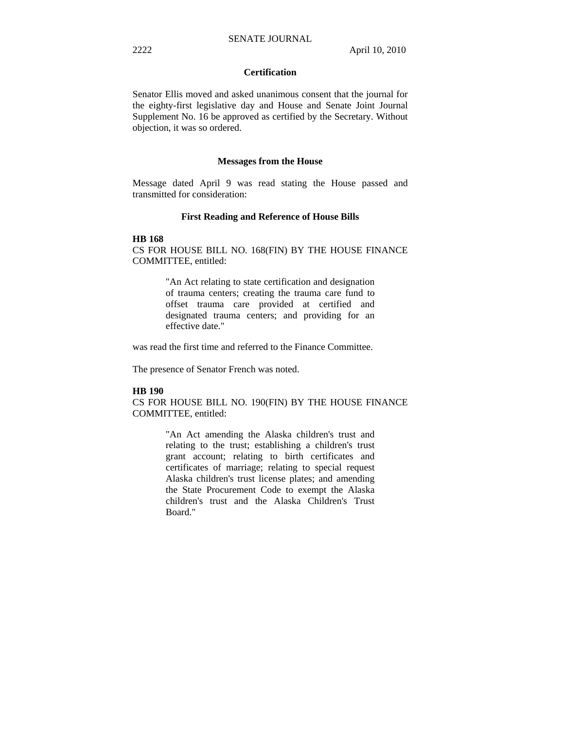## **Certification**

Senator Ellis moved and asked unanimous consent that the journal for the eighty-first legislative day and House and Senate Joint Journal Supplement No. 16 be approved as certified by the Secretary. Without objection, it was so ordered.

#### **Messages from the House**

Message dated April 9 was read stating the House passed and transmitted for consideration:

## **First Reading and Reference of House Bills**

#### **HB 168**

CS FOR HOUSE BILL NO. 168(FIN) BY THE HOUSE FINANCE COMMITTEE, entitled:

> "An Act relating to state certification and designation of trauma centers; creating the trauma care fund to offset trauma care provided at certified and designated trauma centers; and providing for an effective date."

was read the first time and referred to the Finance Committee.

The presence of Senator French was noted.

#### **HB 190**

CS FOR HOUSE BILL NO. 190(FIN) BY THE HOUSE FINANCE COMMITTEE, entitled:

> "An Act amending the Alaska children's trust and relating to the trust; establishing a children's trust grant account; relating to birth certificates and certificates of marriage; relating to special request Alaska children's trust license plates; and amending the State Procurement Code to exempt the Alaska children's trust and the Alaska Children's Trust Board."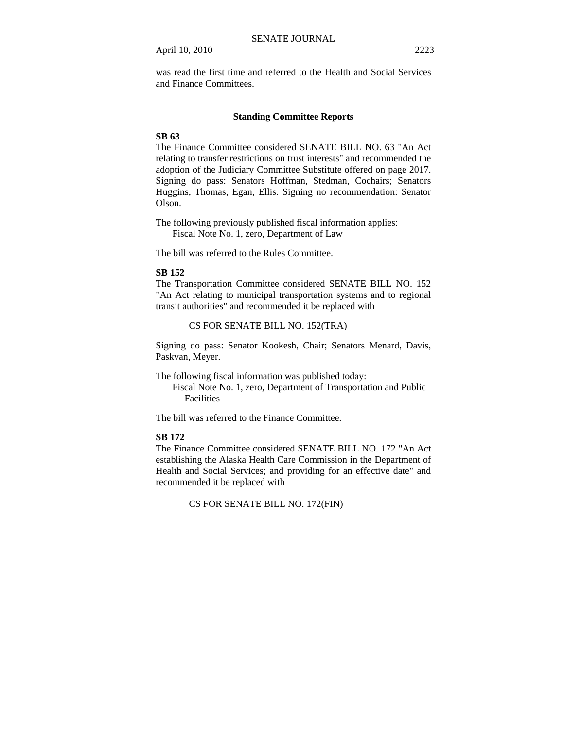was read the first time and referred to the Health and Social Services and Finance Committees.

## **Standing Committee Reports**

## **SB 63**

The Finance Committee considered SENATE BILL NO. 63 "An Act relating to transfer restrictions on trust interests" and recommended the adoption of the Judiciary Committee Substitute offered on page 2017. Signing do pass: Senators Hoffman, Stedman, Cochairs; Senators Huggins, Thomas, Egan, Ellis. Signing no recommendation: Senator Olson.

The following previously published fiscal information applies: Fiscal Note No. 1, zero, Department of Law

The bill was referred to the Rules Committee.

## **SB 152**

The Transportation Committee considered SENATE BILL NO. 152 "An Act relating to municipal transportation systems and to regional transit authorities" and recommended it be replaced with

CS FOR SENATE BILL NO. 152(TRA)

Signing do pass: Senator Kookesh, Chair; Senators Menard, Davis, Paskvan, Meyer.

The following fiscal information was published today:

 Fiscal Note No. 1, zero, Department of Transportation and Public Facilities

The bill was referred to the Finance Committee.

#### **SB 172**

The Finance Committee considered SENATE BILL NO. 172 "An Act establishing the Alaska Health Care Commission in the Department of Health and Social Services; and providing for an effective date" and recommended it be replaced with

CS FOR SENATE BILL NO. 172(FIN)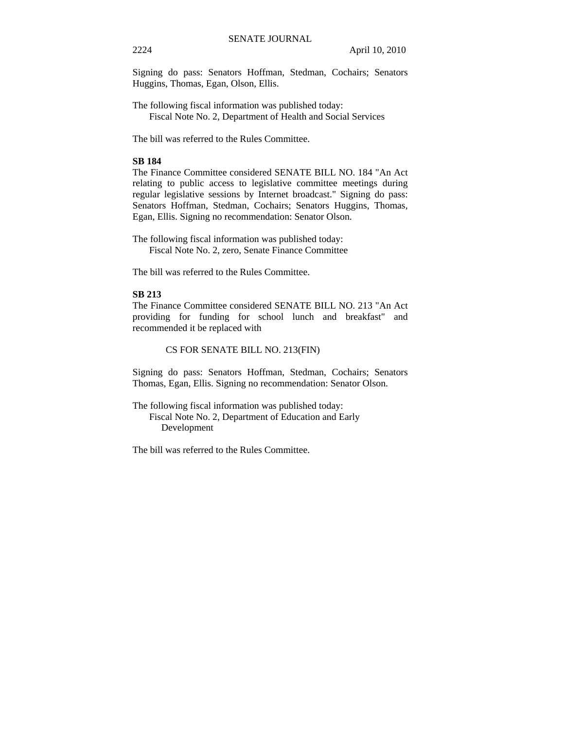Signing do pass: Senators Hoffman, Stedman, Cochairs; Senators Huggins, Thomas, Egan, Olson, Ellis.

The following fiscal information was published today: Fiscal Note No. 2, Department of Health and Social Services

The bill was referred to the Rules Committee.

## **SB 184**

The Finance Committee considered SENATE BILL NO. 184 "An Act relating to public access to legislative committee meetings during regular legislative sessions by Internet broadcast." Signing do pass: Senators Hoffman, Stedman, Cochairs; Senators Huggins, Thomas, Egan, Ellis. Signing no recommendation: Senator Olson.

The following fiscal information was published today: Fiscal Note No. 2, zero, Senate Finance Committee

The bill was referred to the Rules Committee.

## **SB 213**

The Finance Committee considered SENATE BILL NO. 213 "An Act providing for funding for school lunch and breakfast" and recommended it be replaced with

## CS FOR SENATE BILL NO. 213(FIN)

Signing do pass: Senators Hoffman, Stedman, Cochairs; Senators Thomas, Egan, Ellis. Signing no recommendation: Senator Olson.

The following fiscal information was published today: Fiscal Note No. 2, Department of Education and Early Development

The bill was referred to the Rules Committee.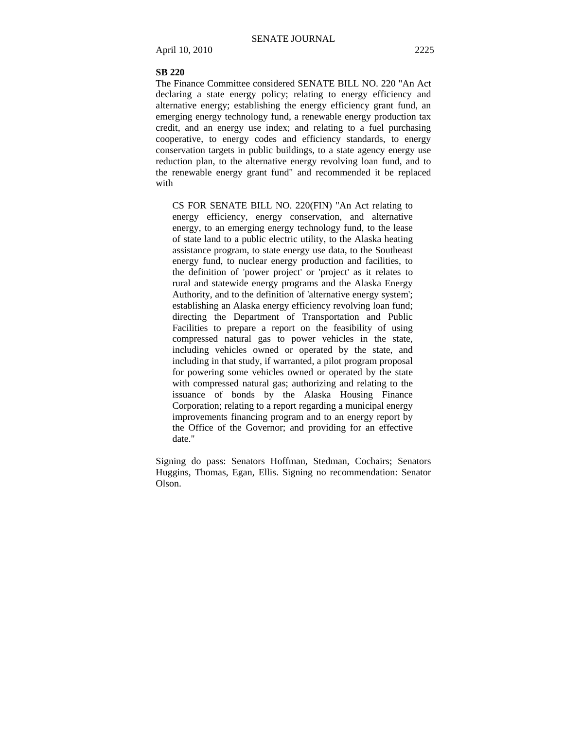## **SB 220**

The Finance Committee considered SENATE BILL NO. 220 "An Act declaring a state energy policy; relating to energy efficiency and alternative energy; establishing the energy efficiency grant fund, an emerging energy technology fund, a renewable energy production tax credit, and an energy use index; and relating to a fuel purchasing cooperative, to energy codes and efficiency standards, to energy conservation targets in public buildings, to a state agency energy use reduction plan, to the alternative energy revolving loan fund, and to the renewable energy grant fund" and recommended it be replaced with

CS FOR SENATE BILL NO. 220(FIN) "An Act relating to energy efficiency, energy conservation, and alternative energy, to an emerging energy technology fund, to the lease of state land to a public electric utility, to the Alaska heating assistance program, to state energy use data, to the Southeast energy fund, to nuclear energy production and facilities, to the definition of 'power project' or 'project' as it relates to rural and statewide energy programs and the Alaska Energy Authority, and to the definition of 'alternative energy system'; establishing an Alaska energy efficiency revolving loan fund; directing the Department of Transportation and Public Facilities to prepare a report on the feasibility of using compressed natural gas to power vehicles in the state, including vehicles owned or operated by the state, and including in that study, if warranted, a pilot program proposal for powering some vehicles owned or operated by the state with compressed natural gas; authorizing and relating to the issuance of bonds by the Alaska Housing Finance Corporation; relating to a report regarding a municipal energy improvements financing program and to an energy report by the Office of the Governor; and providing for an effective date."

Signing do pass: Senators Hoffman, Stedman, Cochairs; Senators Huggins, Thomas, Egan, Ellis. Signing no recommendation: Senator Olson.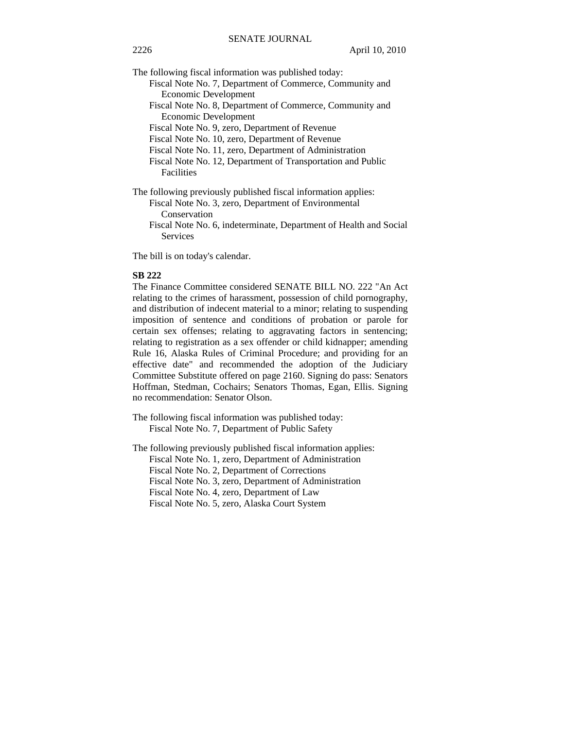The following fiscal information was published today:

- Fiscal Note No. 7, Department of Commerce, Community and Economic Development
- Fiscal Note No. 8, Department of Commerce, Community and Economic Development

Fiscal Note No. 9, zero, Department of Revenue

Fiscal Note No. 10, zero, Department of Revenue

Fiscal Note No. 11, zero, Department of Administration

- Fiscal Note No. 12, Department of Transportation and Public Facilities
- The following previously published fiscal information applies:
	- Fiscal Note No. 3, zero, Department of Environmental Conservation
	- Fiscal Note No. 6, indeterminate, Department of Health and Social Services

The bill is on today's calendar.

## **SB 222**

The Finance Committee considered SENATE BILL NO. 222 "An Act relating to the crimes of harassment, possession of child pornography, and distribution of indecent material to a minor; relating to suspending imposition of sentence and conditions of probation or parole for certain sex offenses; relating to aggravating factors in sentencing; relating to registration as a sex offender or child kidnapper; amending Rule 16, Alaska Rules of Criminal Procedure; and providing for an effective date" and recommended the adoption of the Judiciary Committee Substitute offered on page 2160. Signing do pass: Senators Hoffman, Stedman, Cochairs; Senators Thomas, Egan, Ellis. Signing no recommendation: Senator Olson.

The following fiscal information was published today: Fiscal Note No. 7, Department of Public Safety

The following previously published fiscal information applies:

Fiscal Note No. 1, zero, Department of Administration

Fiscal Note No. 2, Department of Corrections

Fiscal Note No. 3, zero, Department of Administration

Fiscal Note No. 4, zero, Department of Law

Fiscal Note No. 5, zero, Alaska Court System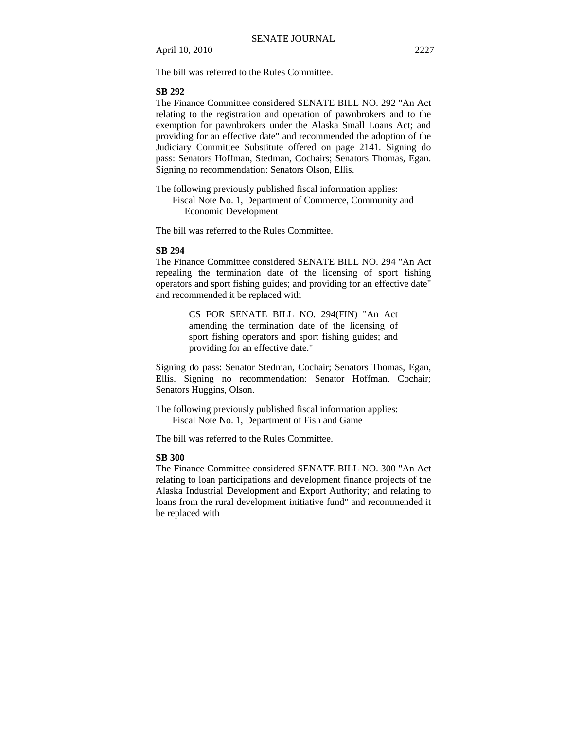The bill was referred to the Rules Committee.

## **SB 292**

The Finance Committee considered SENATE BILL NO. 292 "An Act relating to the registration and operation of pawnbrokers and to the exemption for pawnbrokers under the Alaska Small Loans Act; and providing for an effective date" and recommended the adoption of the Judiciary Committee Substitute offered on page 2141. Signing do pass: Senators Hoffman, Stedman, Cochairs; Senators Thomas, Egan. Signing no recommendation: Senators Olson, Ellis.

The following previously published fiscal information applies: Fiscal Note No. 1, Department of Commerce, Community and Economic Development

The bill was referred to the Rules Committee.

## **SB 294**

The Finance Committee considered SENATE BILL NO. 294 "An Act repealing the termination date of the licensing of sport fishing operators and sport fishing guides; and providing for an effective date" and recommended it be replaced with

> CS FOR SENATE BILL NO. 294(FIN) "An Act amending the termination date of the licensing of sport fishing operators and sport fishing guides; and providing for an effective date."

Signing do pass: Senator Stedman, Cochair; Senators Thomas, Egan, Ellis. Signing no recommendation: Senator Hoffman, Cochair; Senators Huggins, Olson.

The following previously published fiscal information applies: Fiscal Note No. 1, Department of Fish and Game

The bill was referred to the Rules Committee.

## **SB 300**

The Finance Committee considered SENATE BILL NO. 300 "An Act relating to loan participations and development finance projects of the Alaska Industrial Development and Export Authority; and relating to loans from the rural development initiative fund" and recommended it be replaced with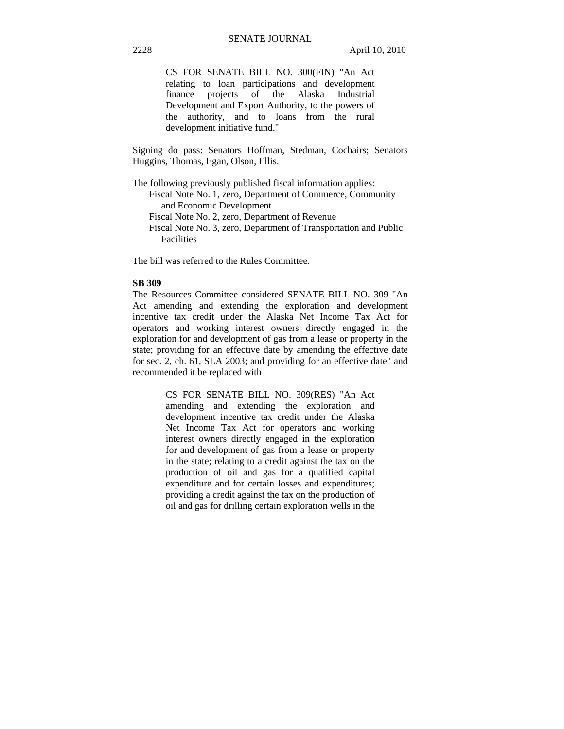CS FOR SENATE BILL NO. 300(FIN) "An Act relating to loan participations and development finance projects of the Alaska Industrial Development and Export Authority, to the powers of the authority, and to loans from the rural development initiative fund."

Signing do pass: Senators Hoffman, Stedman, Cochairs; Senators Huggins, Thomas, Egan, Olson, Ellis.

The following previously published fiscal information applies: Fiscal Note No. 1, zero, Department of Commerce, Community

and Economic Development

- Fiscal Note No. 2, zero, Department of Revenue
- Fiscal Note No. 3, zero, Department of Transportation and Public Facilities

The bill was referred to the Rules Committee.

## **SB 309**

The Resources Committee considered SENATE BILL NO. 309 "An Act amending and extending the exploration and development incentive tax credit under the Alaska Net Income Tax Act for operators and working interest owners directly engaged in the exploration for and development of gas from a lease or property in the state; providing for an effective date by amending the effective date for sec. 2, ch. 61, SLA 2003; and providing for an effective date" and recommended it be replaced with

> CS FOR SENATE BILL NO. 309(RES) "An Act amending and extending the exploration and development incentive tax credit under the Alaska Net Income Tax Act for operators and working interest owners directly engaged in the exploration for and development of gas from a lease or property in the state; relating to a credit against the tax on the production of oil and gas for a qualified capital expenditure and for certain losses and expenditures; providing a credit against the tax on the production of oil and gas for drilling certain exploration wells in the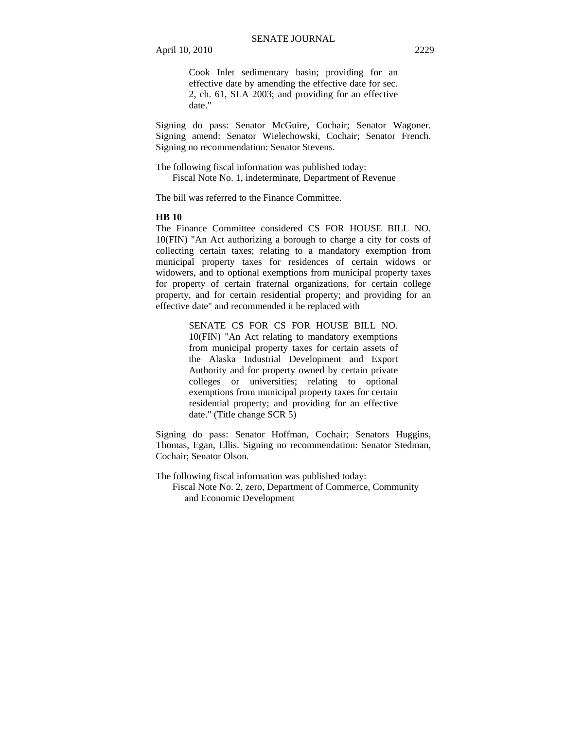Cook Inlet sedimentary basin; providing for an effective date by amending the effective date for sec. 2, ch. 61, SLA 2003; and providing for an effective date."

Signing do pass: Senator McGuire, Cochair; Senator Wagoner. Signing amend: Senator Wielechowski, Cochair; Senator French. Signing no recommendation: Senator Stevens.

The following fiscal information was published today: Fiscal Note No. 1, indeterminate, Department of Revenue

The bill was referred to the Finance Committee.

#### **HB 10**

The Finance Committee considered CS FOR HOUSE BILL NO. 10(FIN) "An Act authorizing a borough to charge a city for costs of collecting certain taxes; relating to a mandatory exemption from municipal property taxes for residences of certain widows or widowers, and to optional exemptions from municipal property taxes for property of certain fraternal organizations, for certain college property, and for certain residential property; and providing for an effective date" and recommended it be replaced with

> SENATE CS FOR CS FOR HOUSE BILL NO. 10(FIN) "An Act relating to mandatory exemptions from municipal property taxes for certain assets of the Alaska Industrial Development and Export Authority and for property owned by certain private colleges or universities; relating to optional exemptions from municipal property taxes for certain residential property; and providing for an effective date." (Title change SCR 5)

Signing do pass: Senator Hoffman, Cochair; Senators Huggins, Thomas, Egan, Ellis. Signing no recommendation: Senator Stedman, Cochair; Senator Olson.

The following fiscal information was published today:

 Fiscal Note No. 2, zero, Department of Commerce, Community and Economic Development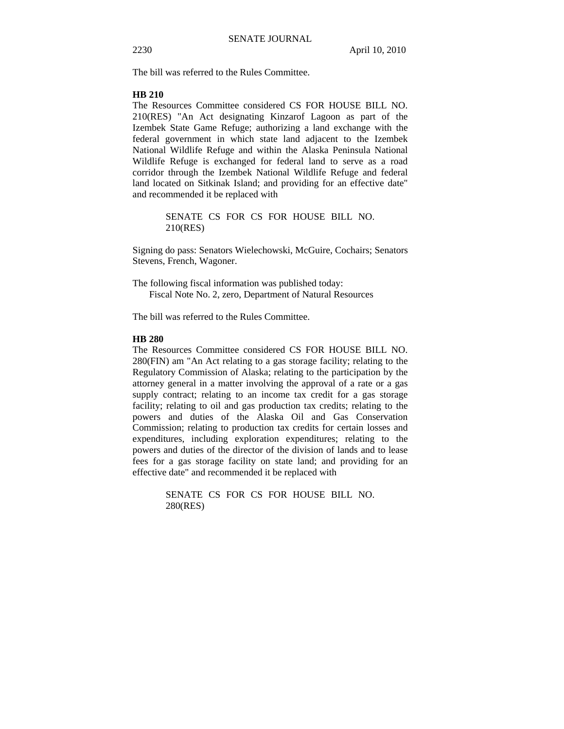The bill was referred to the Rules Committee.

#### **HB 210**

The Resources Committee considered CS FOR HOUSE BILL NO. 210(RES) "An Act designating Kinzarof Lagoon as part of the Izembek State Game Refuge; authorizing a land exchange with the federal government in which state land adjacent to the Izembek National Wildlife Refuge and within the Alaska Peninsula National Wildlife Refuge is exchanged for federal land to serve as a road corridor through the Izembek National Wildlife Refuge and federal land located on Sitkinak Island; and providing for an effective date" and recommended it be replaced with

> SENATE CS FOR CS FOR HOUSE BILL NO. 210(RES)

Signing do pass: Senators Wielechowski, McGuire, Cochairs; Senators Stevens, French, Wagoner.

The following fiscal information was published today: Fiscal Note No. 2, zero, Department of Natural Resources

The bill was referred to the Rules Committee.

## **HB 280**

The Resources Committee considered CS FOR HOUSE BILL NO. 280(FIN) am "An Act relating to a gas storage facility; relating to the Regulatory Commission of Alaska; relating to the participation by the attorney general in a matter involving the approval of a rate or a gas supply contract; relating to an income tax credit for a gas storage facility; relating to oil and gas production tax credits; relating to the powers and duties of the Alaska Oil and Gas Conservation Commission; relating to production tax credits for certain losses and expenditures, including exploration expenditures; relating to the powers and duties of the director of the division of lands and to lease fees for a gas storage facility on state land; and providing for an effective date" and recommended it be replaced with

> SENATE CS FOR CS FOR HOUSE BILL NO. 280(RES)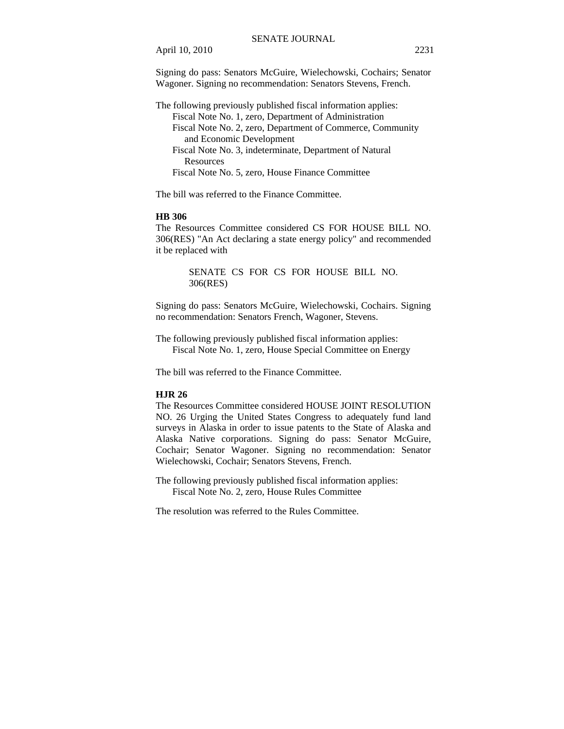Signing do pass: Senators McGuire, Wielechowski, Cochairs; Senator Wagoner. Signing no recommendation: Senators Stevens, French.

The following previously published fiscal information applies: Fiscal Note No. 1, zero, Department of Administration Fiscal Note No. 2, zero, Department of Commerce, Community and Economic Development Fiscal Note No. 3, indeterminate, Department of Natural Resources Fiscal Note No. 5, zero, House Finance Committee

The bill was referred to the Finance Committee.

#### **HB 306**

The Resources Committee considered CS FOR HOUSE BILL NO. 306(RES) "An Act declaring a state energy policy" and recommended it be replaced with

> SENATE CS FOR CS FOR HOUSE BILL NO. 306(RES)

Signing do pass: Senators McGuire, Wielechowski, Cochairs. Signing no recommendation: Senators French, Wagoner, Stevens.

The following previously published fiscal information applies: Fiscal Note No. 1, zero, House Special Committee on Energy

The bill was referred to the Finance Committee.

## **HJR 26**

The Resources Committee considered HOUSE JOINT RESOLUTION NO. 26 Urging the United States Congress to adequately fund land surveys in Alaska in order to issue patents to the State of Alaska and Alaska Native corporations. Signing do pass: Senator McGuire, Cochair; Senator Wagoner. Signing no recommendation: Senator Wielechowski, Cochair; Senators Stevens, French.

The following previously published fiscal information applies: Fiscal Note No. 2, zero, House Rules Committee

The resolution was referred to the Rules Committee.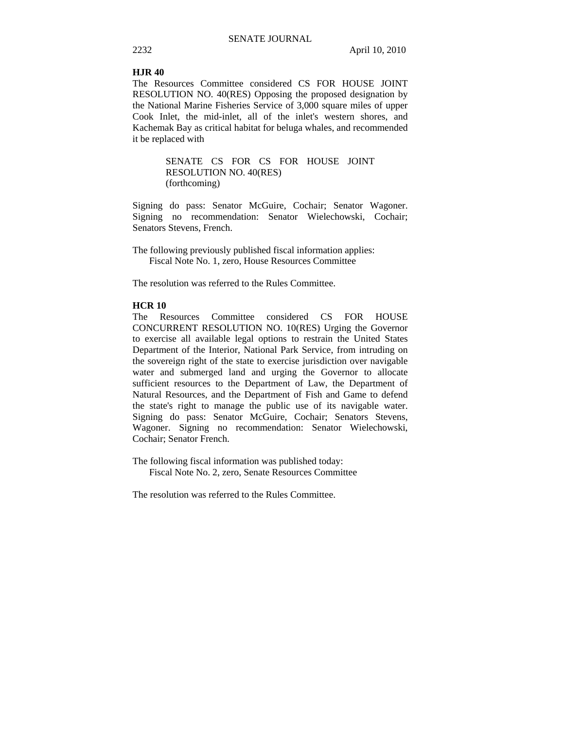#### **HJR 40**

The Resources Committee considered CS FOR HOUSE JOINT RESOLUTION NO. 40(RES) Opposing the proposed designation by the National Marine Fisheries Service of 3,000 square miles of upper Cook Inlet, the mid-inlet, all of the inlet's western shores, and Kachemak Bay as critical habitat for beluga whales, and recommended it be replaced with

> SENATE CS FOR CS FOR HOUSE JOINT RESOLUTION NO. 40(RES) (forthcoming)

Signing do pass: Senator McGuire, Cochair; Senator Wagoner. Signing no recommendation: Senator Wielechowski, Cochair; Senators Stevens, French.

The following previously published fiscal information applies: Fiscal Note No. 1, zero, House Resources Committee

The resolution was referred to the Rules Committee.

## **HCR 10**

The Resources Committee considered CS FOR HOUSE CONCURRENT RESOLUTION NO. 10(RES) Urging the Governor to exercise all available legal options to restrain the United States Department of the Interior, National Park Service, from intruding on the sovereign right of the state to exercise jurisdiction over navigable water and submerged land and urging the Governor to allocate sufficient resources to the Department of Law, the Department of Natural Resources, and the Department of Fish and Game to defend the state's right to manage the public use of its navigable water. Signing do pass: Senator McGuire, Cochair; Senators Stevens, Wagoner. Signing no recommendation: Senator Wielechowski, Cochair; Senator French.

The following fiscal information was published today: Fiscal Note No. 2, zero, Senate Resources Committee

The resolution was referred to the Rules Committee.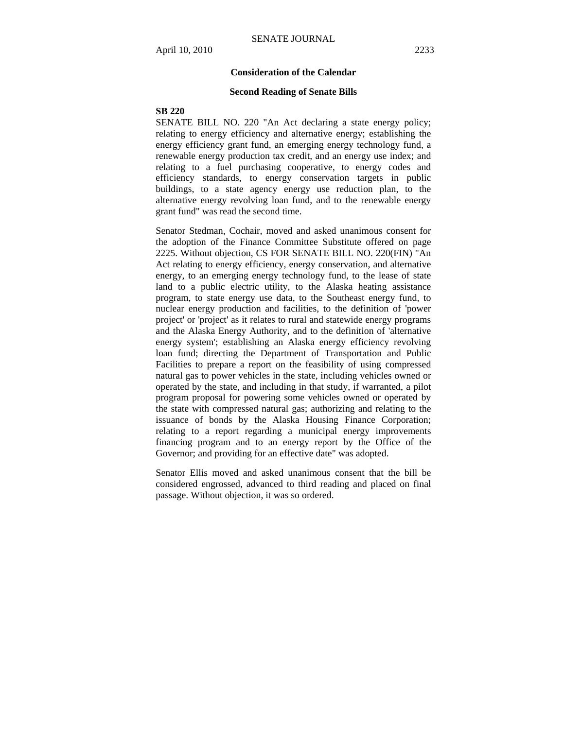#### **Consideration of the Calendar**

#### **Second Reading of Senate Bills**

## **SB 220**

SENATE BILL NO. 220 "An Act declaring a state energy policy; relating to energy efficiency and alternative energy; establishing the energy efficiency grant fund, an emerging energy technology fund, a renewable energy production tax credit, and an energy use index; and relating to a fuel purchasing cooperative, to energy codes and efficiency standards, to energy conservation targets in public buildings, to a state agency energy use reduction plan, to the alternative energy revolving loan fund, and to the renewable energy grant fund" was read the second time.

Senator Stedman, Cochair, moved and asked unanimous consent for the adoption of the Finance Committee Substitute offered on page 2225. Without objection, CS FOR SENATE BILL NO. 220(FIN) "An Act relating to energy efficiency, energy conservation, and alternative energy, to an emerging energy technology fund, to the lease of state land to a public electric utility, to the Alaska heating assistance program, to state energy use data, to the Southeast energy fund, to nuclear energy production and facilities, to the definition of 'power project' or 'project' as it relates to rural and statewide energy programs and the Alaska Energy Authority, and to the definition of 'alternative energy system'; establishing an Alaska energy efficiency revolving loan fund; directing the Department of Transportation and Public Facilities to prepare a report on the feasibility of using compressed natural gas to power vehicles in the state, including vehicles owned or operated by the state, and including in that study, if warranted, a pilot program proposal for powering some vehicles owned or operated by the state with compressed natural gas; authorizing and relating to the issuance of bonds by the Alaska Housing Finance Corporation; relating to a report regarding a municipal energy improvements financing program and to an energy report by the Office of the Governor; and providing for an effective date" was adopted.

Senator Ellis moved and asked unanimous consent that the bill be considered engrossed, advanced to third reading and placed on final passage. Without objection, it was so ordered.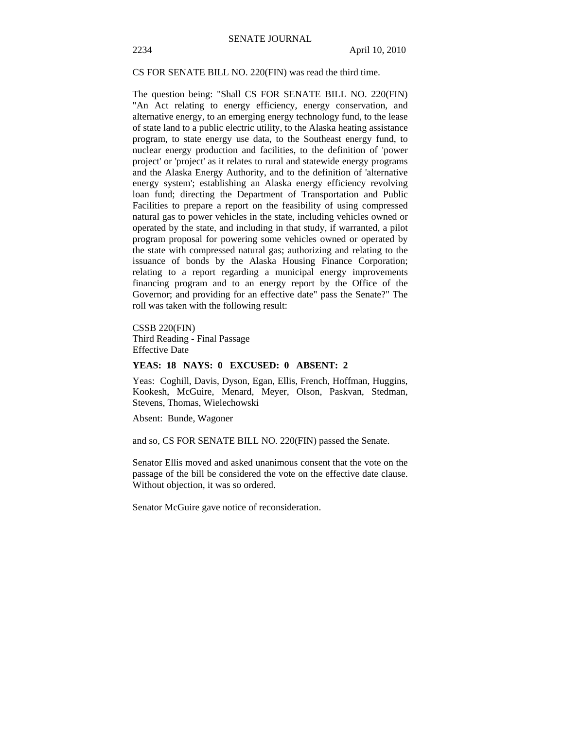CS FOR SENATE BILL NO. 220(FIN) was read the third time.

The question being: "Shall CS FOR SENATE BILL NO. 220(FIN) "An Act relating to energy efficiency, energy conservation, and alternative energy, to an emerging energy technology fund, to the lease of state land to a public electric utility, to the Alaska heating assistance program, to state energy use data, to the Southeast energy fund, to nuclear energy production and facilities, to the definition of 'power project' or 'project' as it relates to rural and statewide energy programs and the Alaska Energy Authority, and to the definition of 'alternative energy system'; establishing an Alaska energy efficiency revolving loan fund; directing the Department of Transportation and Public Facilities to prepare a report on the feasibility of using compressed natural gas to power vehicles in the state, including vehicles owned or operated by the state, and including in that study, if warranted, a pilot program proposal for powering some vehicles owned or operated by the state with compressed natural gas; authorizing and relating to the issuance of bonds by the Alaska Housing Finance Corporation; relating to a report regarding a municipal energy improvements financing program and to an energy report by the Office of the Governor; and providing for an effective date" pass the Senate?" The roll was taken with the following result:

CSSB 220(FIN) Third Reading - Final Passage Effective Date

## **YEAS: 18 NAYS: 0 EXCUSED: 0 ABSENT: 2**

Yeas: Coghill, Davis, Dyson, Egan, Ellis, French, Hoffman, Huggins, Kookesh, McGuire, Menard, Meyer, Olson, Paskvan, Stedman, Stevens, Thomas, Wielechowski

Absent: Bunde, Wagoner

and so, CS FOR SENATE BILL NO. 220(FIN) passed the Senate.

Senator Ellis moved and asked unanimous consent that the vote on the passage of the bill be considered the vote on the effective date clause. Without objection, it was so ordered.

Senator McGuire gave notice of reconsideration.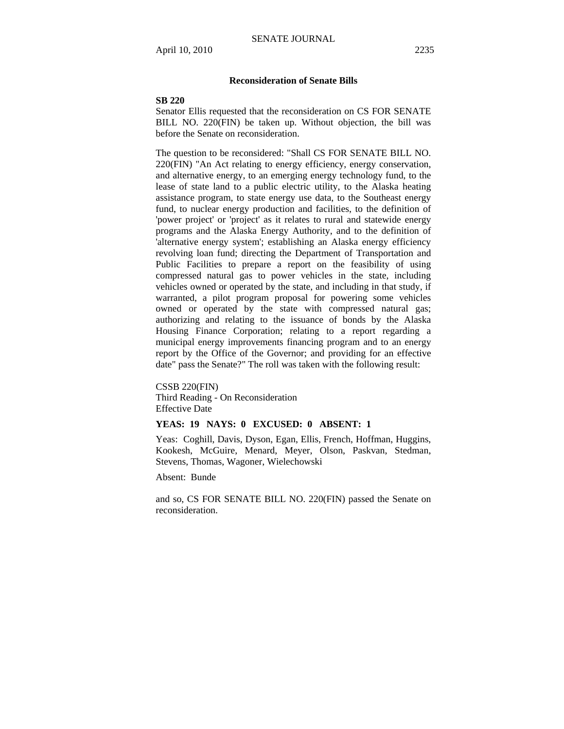## **Reconsideration of Senate Bills**

## **SB 220**

Senator Ellis requested that the reconsideration on CS FOR SENATE BILL NO. 220(FIN) be taken up. Without objection, the bill was before the Senate on reconsideration.

The question to be reconsidered: "Shall CS FOR SENATE BILL NO. 220(FIN) "An Act relating to energy efficiency, energy conservation, and alternative energy, to an emerging energy technology fund, to the lease of state land to a public electric utility, to the Alaska heating assistance program, to state energy use data, to the Southeast energy fund, to nuclear energy production and facilities, to the definition of 'power project' or 'project' as it relates to rural and statewide energy programs and the Alaska Energy Authority, and to the definition of 'alternative energy system'; establishing an Alaska energy efficiency revolving loan fund; directing the Department of Transportation and Public Facilities to prepare a report on the feasibility of using compressed natural gas to power vehicles in the state, including vehicles owned or operated by the state, and including in that study, if warranted, a pilot program proposal for powering some vehicles owned or operated by the state with compressed natural gas; authorizing and relating to the issuance of bonds by the Alaska Housing Finance Corporation; relating to a report regarding a municipal energy improvements financing program and to an energy report by the Office of the Governor; and providing for an effective date" pass the Senate?" The roll was taken with the following result:

CSSB 220(FIN) Third Reading - On Reconsideration Effective Date

## **YEAS: 19 NAYS: 0 EXCUSED: 0 ABSENT: 1**

Yeas: Coghill, Davis, Dyson, Egan, Ellis, French, Hoffman, Huggins, Kookesh, McGuire, Menard, Meyer, Olson, Paskvan, Stedman, Stevens, Thomas, Wagoner, Wielechowski

Absent: Bunde

and so, CS FOR SENATE BILL NO. 220(FIN) passed the Senate on reconsideration.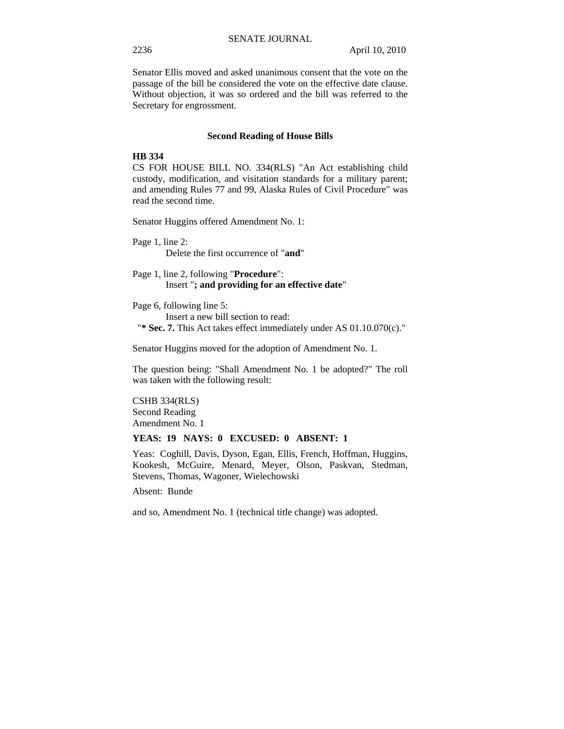Senator Ellis moved and asked unanimous consent that the vote on the passage of the bill be considered the vote on the effective date clause. Without objection, it was so ordered and the bill was referred to the Secretary for engrossment.

#### **Second Reading of House Bills**

## **HB 334**

CS FOR HOUSE BILL NO. 334(RLS) "An Act establishing child custody, modification, and visitation standards for a military parent; and amending Rules 77 and 99, Alaska Rules of Civil Procedure" was read the second time.

Senator Huggins offered Amendment No. 1:

Page 1, line 2: Delete the first occurrence of "**and**"

Page 1, line 2, following "**Procedure**": Insert "**; and providing for an effective date**"

Page 6, following line 5: Insert a new bill section to read: "**\* Sec. 7.** This Act takes effect immediately under AS 01.10.070(c)."

Senator Huggins moved for the adoption of Amendment No. 1.

The question being: "Shall Amendment No. 1 be adopted?" The roll was taken with the following result:

CSHB 334(RLS) Second Reading Amendment No. 1

#### **YEAS: 19 NAYS: 0 EXCUSED: 0 ABSENT: 1**

Yeas: Coghill, Davis, Dyson, Egan, Ellis, French, Hoffman, Huggins, Kookesh, McGuire, Menard, Meyer, Olson, Paskvan, Stedman, Stevens, Thomas, Wagoner, Wielechowski

Absent: Bunde

and so, Amendment No. 1 (technical title change) was adopted.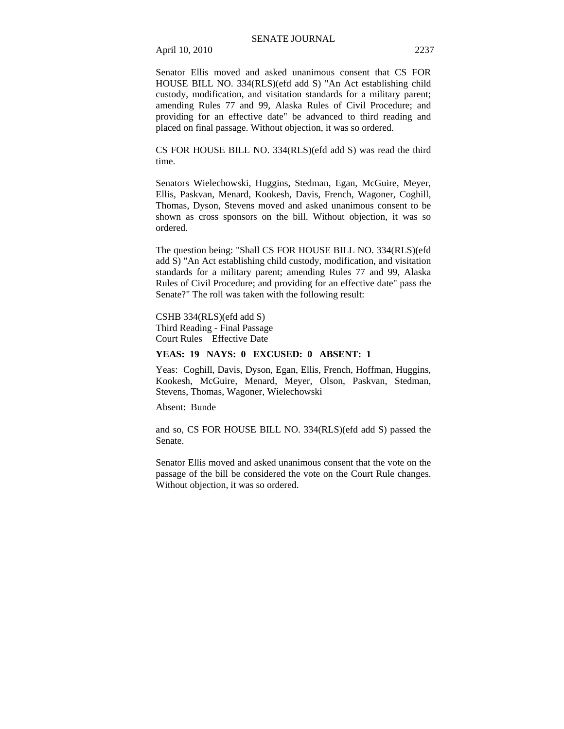Senator Ellis moved and asked unanimous consent that CS FOR HOUSE BILL NO. 334(RLS)(efd add S) "An Act establishing child custody, modification, and visitation standards for a military parent; amending Rules 77 and 99, Alaska Rules of Civil Procedure; and providing for an effective date" be advanced to third reading and placed on final passage. Without objection, it was so ordered.

CS FOR HOUSE BILL NO. 334(RLS)(efd add S) was read the third time.

Senators Wielechowski, Huggins, Stedman, Egan, McGuire, Meyer, Ellis, Paskvan, Menard, Kookesh, Davis, French, Wagoner, Coghill, Thomas, Dyson, Stevens moved and asked unanimous consent to be shown as cross sponsors on the bill. Without objection, it was so ordered.

The question being: "Shall CS FOR HOUSE BILL NO. 334(RLS)(efd add S) "An Act establishing child custody, modification, and visitation standards for a military parent; amending Rules 77 and 99, Alaska Rules of Civil Procedure; and providing for an effective date" pass the Senate?" The roll was taken with the following result:

CSHB 334(RLS)(efd add S) Third Reading - Final Passage Court Rules Effective Date

## **YEAS: 19 NAYS: 0 EXCUSED: 0 ABSENT: 1**

Yeas: Coghill, Davis, Dyson, Egan, Ellis, French, Hoffman, Huggins, Kookesh, McGuire, Menard, Meyer, Olson, Paskvan, Stedman, Stevens, Thomas, Wagoner, Wielechowski

Absent: Bunde

and so, CS FOR HOUSE BILL NO. 334(RLS)(efd add S) passed the Senate.

Senator Ellis moved and asked unanimous consent that the vote on the passage of the bill be considered the vote on the Court Rule changes. Without objection, it was so ordered.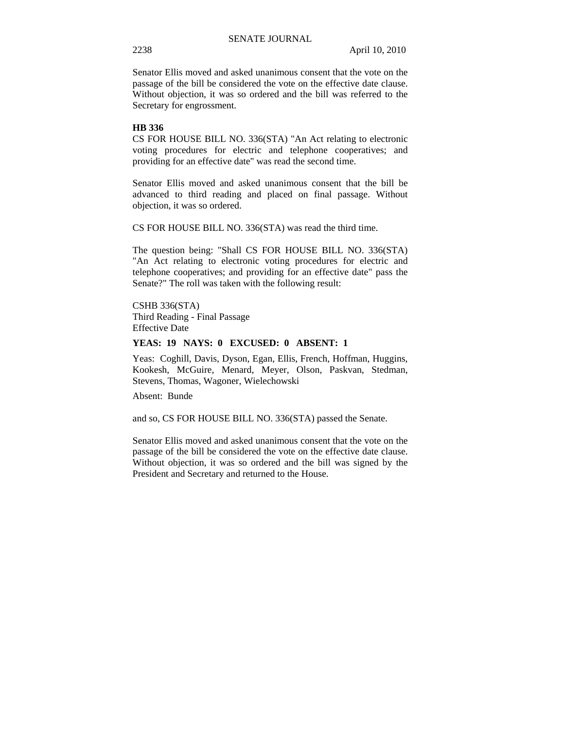Senator Ellis moved and asked unanimous consent that the vote on the passage of the bill be considered the vote on the effective date clause. Without objection, it was so ordered and the bill was referred to the Secretary for engrossment.

## **HB 336**

CS FOR HOUSE BILL NO. 336(STA) "An Act relating to electronic voting procedures for electric and telephone cooperatives; and providing for an effective date" was read the second time.

Senator Ellis moved and asked unanimous consent that the bill be advanced to third reading and placed on final passage. Without objection, it was so ordered.

CS FOR HOUSE BILL NO. 336(STA) was read the third time.

The question being: "Shall CS FOR HOUSE BILL NO. 336(STA) "An Act relating to electronic voting procedures for electric and telephone cooperatives; and providing for an effective date" pass the Senate?" The roll was taken with the following result:

CSHB 336(STA) Third Reading - Final Passage Effective Date

### **YEAS: 19 NAYS: 0 EXCUSED: 0 ABSENT: 1**

Yeas: Coghill, Davis, Dyson, Egan, Ellis, French, Hoffman, Huggins, Kookesh, McGuire, Menard, Meyer, Olson, Paskvan, Stedman, Stevens, Thomas, Wagoner, Wielechowski

Absent: Bunde

and so, CS FOR HOUSE BILL NO. 336(STA) passed the Senate.

Senator Ellis moved and asked unanimous consent that the vote on the passage of the bill be considered the vote on the effective date clause. Without objection, it was so ordered and the bill was signed by the President and Secretary and returned to the House.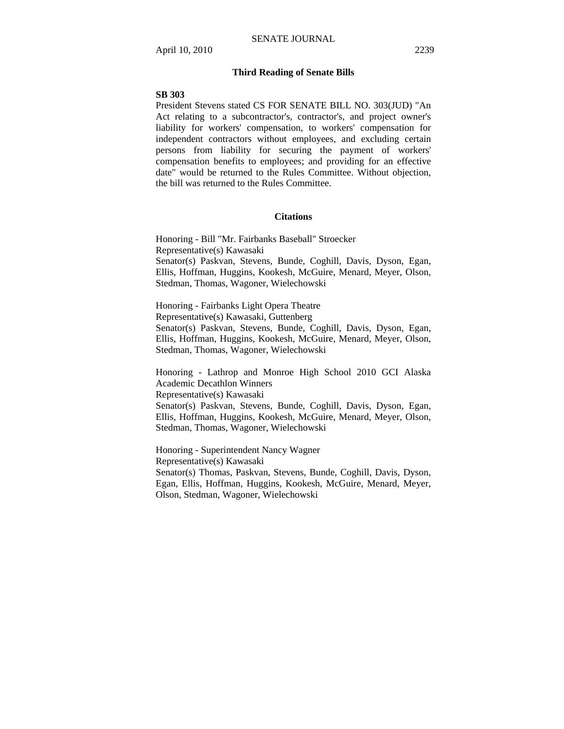## **Third Reading of Senate Bills**

#### **SB 303**

President Stevens stated CS FOR SENATE BILL NO. 303(JUD) "An Act relating to a subcontractor's, contractor's, and project owner's liability for workers' compensation, to workers' compensation for independent contractors without employees, and excluding certain persons from liability for securing the payment of workers' compensation benefits to employees; and providing for an effective date" would be returned to the Rules Committee. Without objection, the bill was returned to the Rules Committee.

#### **Citations**

Honoring - Bill "Mr. Fairbanks Baseball" Stroecker Representative(s) Kawasaki Senator(s) Paskvan, Stevens, Bunde, Coghill, Davis, Dyson, Egan, Ellis, Hoffman, Huggins, Kookesh, McGuire, Menard, Meyer, Olson, Stedman, Thomas, Wagoner, Wielechowski

Honoring - Fairbanks Light Opera Theatre Representative(s) Kawasaki, Guttenberg Senator(s) Paskvan, Stevens, Bunde, Coghill, Davis, Dyson, Egan, Ellis, Hoffman, Huggins, Kookesh, McGuire, Menard, Meyer, Olson, Stedman, Thomas, Wagoner, Wielechowski

Honoring - Lathrop and Monroe High School 2010 GCI Alaska Academic Decathlon Winners Representative(s) Kawasaki Senator(s) Paskvan, Stevens, Bunde, Coghill, Davis, Dyson, Egan, Ellis, Hoffman, Huggins, Kookesh, McGuire, Menard, Meyer, Olson, Stedman, Thomas, Wagoner, Wielechowski

Honoring - Superintendent Nancy Wagner Representative(s) Kawasaki Senator(s) Thomas, Paskvan, Stevens, Bunde, Coghill, Davis, Dyson, Egan, Ellis, Hoffman, Huggins, Kookesh, McGuire, Menard, Meyer, Olson, Stedman, Wagoner, Wielechowski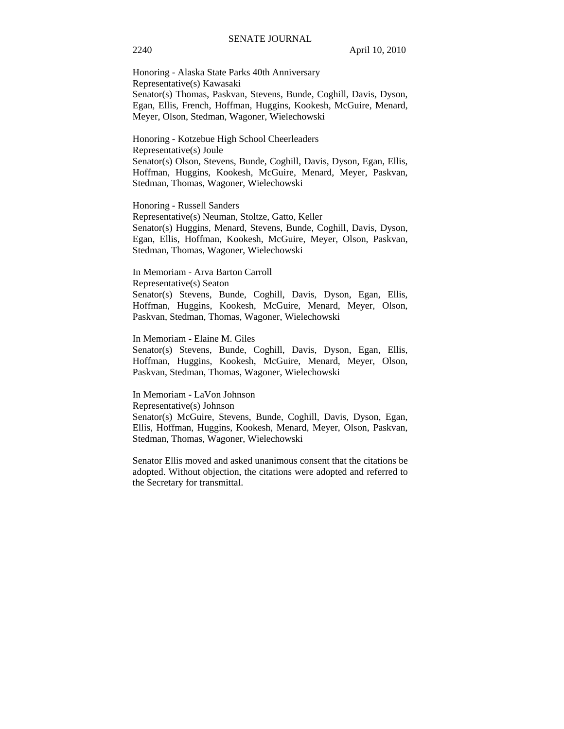Honoring - Alaska State Parks 40th Anniversary Representative(s) Kawasaki Senator(s) Thomas, Paskvan, Stevens, Bunde, Coghill, Davis, Dyson, Egan, Ellis, French, Hoffman, Huggins, Kookesh, McGuire, Menard, Meyer, Olson, Stedman, Wagoner, Wielechowski

Honoring - Kotzebue High School Cheerleaders Representative(s) Joule Senator(s) Olson, Stevens, Bunde, Coghill, Davis, Dyson, Egan, Ellis, Hoffman, Huggins, Kookesh, McGuire, Menard, Meyer, Paskvan, Stedman, Thomas, Wagoner, Wielechowski

Honoring - Russell Sanders

Representative(s) Neuman, Stoltze, Gatto, Keller Senator(s) Huggins, Menard, Stevens, Bunde, Coghill, Davis, Dyson, Egan, Ellis, Hoffman, Kookesh, McGuire, Meyer, Olson, Paskvan, Stedman, Thomas, Wagoner, Wielechowski

In Memoriam - Arva Barton Carroll

Representative(s) Seaton

Senator(s) Stevens, Bunde, Coghill, Davis, Dyson, Egan, Ellis, Hoffman, Huggins, Kookesh, McGuire, Menard, Meyer, Olson, Paskvan, Stedman, Thomas, Wagoner, Wielechowski

In Memoriam - Elaine M. Giles

Senator(s) Stevens, Bunde, Coghill, Davis, Dyson, Egan, Ellis, Hoffman, Huggins, Kookesh, McGuire, Menard, Meyer, Olson, Paskvan, Stedman, Thomas, Wagoner, Wielechowski

In Memoriam - LaVon Johnson

Representative(s) Johnson

Senator(s) McGuire, Stevens, Bunde, Coghill, Davis, Dyson, Egan, Ellis, Hoffman, Huggins, Kookesh, Menard, Meyer, Olson, Paskvan, Stedman, Thomas, Wagoner, Wielechowski

Senator Ellis moved and asked unanimous consent that the citations be adopted. Without objection, the citations were adopted and referred to the Secretary for transmittal.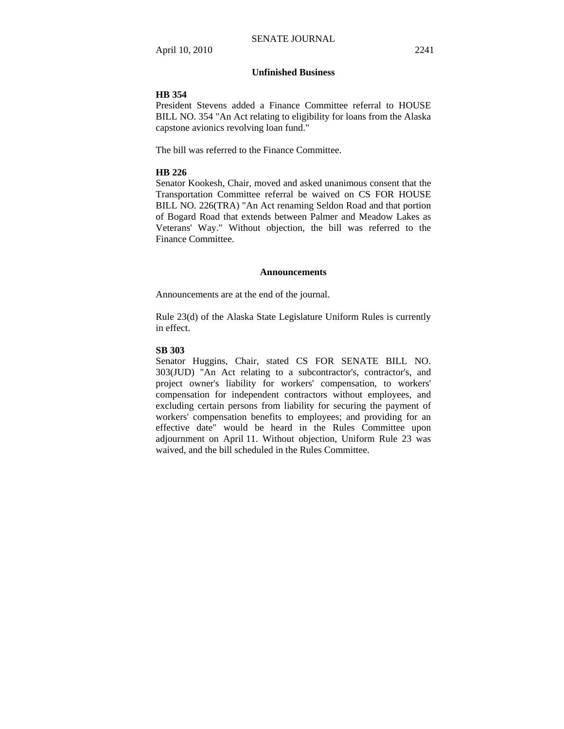## **Unfinished Business**

#### **HB 354**

President Stevens added a Finance Committee referral to HOUSE BILL NO. 354 "An Act relating to eligibility for loans from the Alaska capstone avionics revolving loan fund."

The bill was referred to the Finance Committee.

## **HB 226**

Senator Kookesh, Chair, moved and asked unanimous consent that the Transportation Committee referral be waived on CS FOR HOUSE BILL NO. 226(TRA) "An Act renaming Seldon Road and that portion of Bogard Road that extends between Palmer and Meadow Lakes as Veterans' Way." Without objection, the bill was referred to the Finance Committee.

#### **Announcements**

Announcements are at the end of the journal.

Rule 23(d) of the Alaska State Legislature Uniform Rules is currently in effect.

#### **SB 303**

Senator Huggins, Chair, stated CS FOR SENATE BILL NO. 303(JUD) "An Act relating to a subcontractor's, contractor's, and project owner's liability for workers' compensation, to workers' compensation for independent contractors without employees, and excluding certain persons from liability for securing the payment of workers' compensation benefits to employees; and providing for an effective date" would be heard in the Rules Committee upon adjournment on April 11. Without objection, Uniform Rule 23 was waived, and the bill scheduled in the Rules Committee.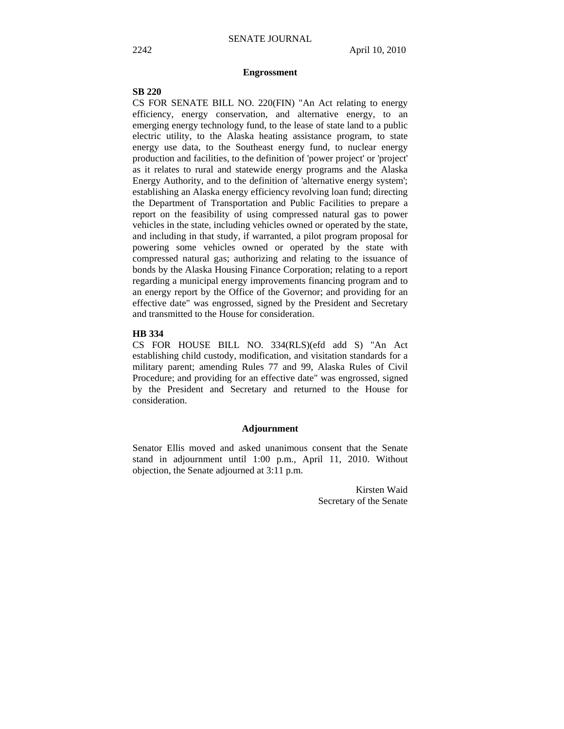#### **Engrossment**

## **SB 220**

CS FOR SENATE BILL NO. 220(FIN) "An Act relating to energy efficiency, energy conservation, and alternative energy, to an emerging energy technology fund, to the lease of state land to a public electric utility, to the Alaska heating assistance program, to state energy use data, to the Southeast energy fund, to nuclear energy production and facilities, to the definition of 'power project' or 'project' as it relates to rural and statewide energy programs and the Alaska Energy Authority, and to the definition of 'alternative energy system'; establishing an Alaska energy efficiency revolving loan fund; directing the Department of Transportation and Public Facilities to prepare a report on the feasibility of using compressed natural gas to power vehicles in the state, including vehicles owned or operated by the state, and including in that study, if warranted, a pilot program proposal for powering some vehicles owned or operated by the state with compressed natural gas; authorizing and relating to the issuance of bonds by the Alaska Housing Finance Corporation; relating to a report regarding a municipal energy improvements financing program and to an energy report by the Office of the Governor; and providing for an effective date" was engrossed, signed by the President and Secretary and transmitted to the House for consideration.

## **HB 334**

CS FOR HOUSE BILL NO. 334(RLS)(efd add S) "An Act establishing child custody, modification, and visitation standards for a military parent; amending Rules 77 and 99, Alaska Rules of Civil Procedure; and providing for an effective date" was engrossed, signed by the President and Secretary and returned to the House for consideration.

#### **Adjournment**

Senator Ellis moved and asked unanimous consent that the Senate stand in adjournment until 1:00 p.m., April 11, 2010. Without objection, the Senate adjourned at 3:11 p.m.

> Kirsten Waid Secretary of the Senate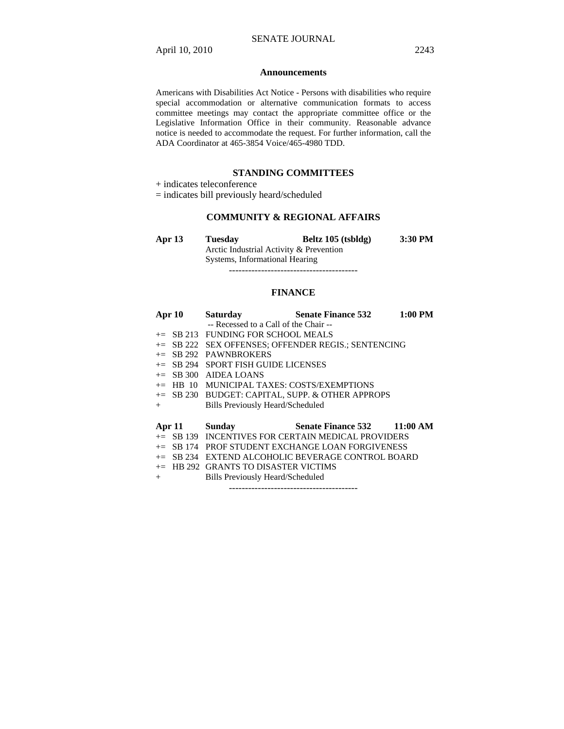#### **Announcements**

Americans with Disabilities Act Notice - Persons with disabilities who require special accommodation or alternative communication formats to access committee meetings may contact the appropriate committee office or the Legislative Information Office in their community. Reasonable advance notice is needed to accommodate the request. For further information, call the ADA Coordinator at 465-3854 Voice/465-4980 TDD.

## **STANDING COMMITTEES**

+ indicates teleconference

= indicates bill previously heard/scheduled

## **COMMUNITY & REGIONAL AFFAIRS**

| Apr $13$ | <b>Tuesday</b>                          | Beltz 105 (tsbldg) | 3:30 PM |
|----------|-----------------------------------------|--------------------|---------|
|          | Arctic Industrial Activity & Prevention |                    |         |
|          | Systems, Informational Hearing          |                    |         |

----------------------------------------

#### **FINANCE**

| Apr 10        | <b>Saturday</b>                                     | <b>Senate Finance 532</b> 1:00 PM                    |  |
|---------------|-----------------------------------------------------|------------------------------------------------------|--|
|               | -- Recessed to a Call of the Chair --               |                                                      |  |
|               | $\pm$ SB 213 FUNDING FOR SCHOOL MEALS               |                                                      |  |
|               | += SB 222 SEX OFFENSES; OFFENDER REGIS.; SENTENCING |                                                      |  |
| $+=$ SB 292   | <b>PAWNBROKERS</b>                                  |                                                      |  |
|               | $\pm$ SB 294 SPORT FISH GUIDE LICENSES              |                                                      |  |
|               | $+=$ SB 300 AIDEA LOANS                             |                                                      |  |
|               | $+=$ HB 10 MUNICIPAL TAXES: COSTS/EXEMPTIONS        |                                                      |  |
|               |                                                     | += SB 230 BUDGET: CAPITAL, SUPP. & OTHER APPROPS     |  |
|               | <b>Bills Previously Heard/Scheduled</b>             |                                                      |  |
| $^{+}$        |                                                     |                                                      |  |
|               |                                                     |                                                      |  |
| Apr 11 Sunday |                                                     | Senate Finance 532 11:00 AM                          |  |
|               |                                                     | $+=$ SB 139 INCENTIVES FOR CERTAIN MEDICAL PROVIDERS |  |
|               |                                                     | $\pm$ SB 174 PROF STUDENT EXCHANGE LOAN FORGIVENESS  |  |
| $+=$          |                                                     | SB 234 EXTEND ALCOHOLIC BEVERAGE CONTROL BOARD       |  |
|               | $+=$ HB 292 GRANTS TO DISASTER VICTIMS              |                                                      |  |
| $+$           | Bills Previously Heard/Scheduled                    |                                                      |  |